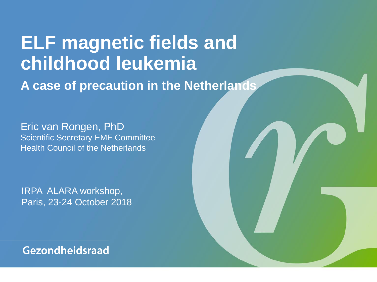# **ELF magnetic fields and childhood leukemia A case of precaution in the Netherlands**

Eric van Rongen, PhD Scientific Secretary EMF Committee Health Council of the Netherlands

IRPA ALARA workshop, Paris, 23-24 October 2018

Gezondheidsraad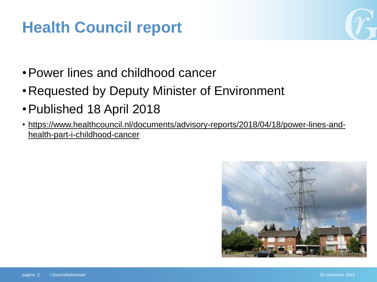# **Health Council report**



- •Power lines and childhood cancer
- •Requested by Deputy Minister of Environment
- •Published 18 April 2018
- [https://www.healthcouncil.nl/documents/advisory-reports/2018/04/18/power-lines-and](https://www.healthcouncil.nl/documents/advisory-reports/2018/04/18/power-lines-and-health-part-i-childhood-cancer)[health-part-i-childhood-cancer](https://www.healthcouncil.nl/documents/advisory-reports/2018/04/18/power-lines-and-health-part-i-childhood-cancer)

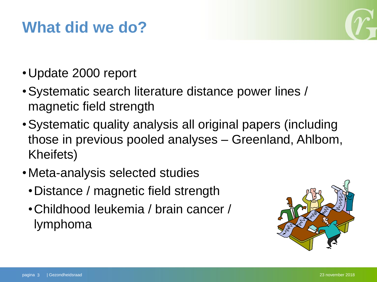### **What did we do?**



- •Update 2000 report
- •Systematic search literature distance power lines / magnetic field strength
- •Systematic quality analysis all original papers (including those in previous pooled analyses – Greenland, Ahlbom, Kheifets)
- •Meta-analysis selected studies
	- •Distance / magnetic field strength
	- •Childhood leukemia / brain cancer / lymphoma

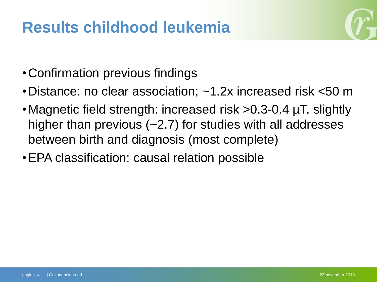### **Results childhood leukemia**



- •Confirmation previous findings
- •Distance: no clear association; ~1.2x increased risk <50 m
- •Magnetic field strength: increased risk >0.3-0.4 µT, slightly higher than previous (~2.7) for studies with all addresses between birth and diagnosis (most complete)
- •EPA classification: causal relation possible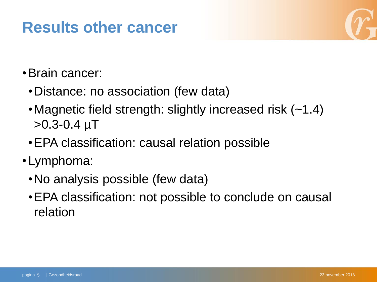### **Results other cancer**



- •Brain cancer:
	- •Distance: no association (few data)
	- •Magnetic field strength: slightly increased risk (~1.4)  $>0.3 - 0.4 \mu T$
	- •EPA classification: causal relation possible
- •Lymphoma:
	- •No analysis possible (few data)
	- •EPA classification: not possible to conclude on causal relation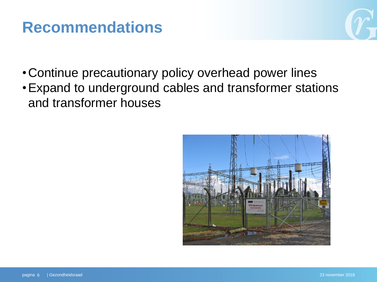### **Recommendations**

- •Continue precautionary policy overhead power lines
- •Expand to underground cables and transformer stations and transformer houses

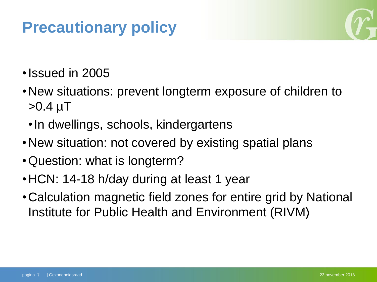# **Precautionary policy**



- •Issued in 2005
- •New situations: prevent longterm exposure of children to  $>0.4 \mu T$ 
	- •In dwellings, schools, kindergartens
- •New situation: not covered by existing spatial plans
- •Question: what is longterm?
- •HCN: 14-18 h/day during at least 1 year
- •Calculation magnetic field zones for entire grid by National Institute for Public Health and Environment (RIVM)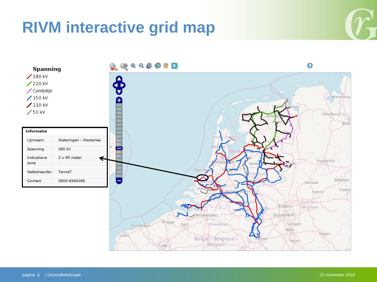### **RIVM interactive grid map**



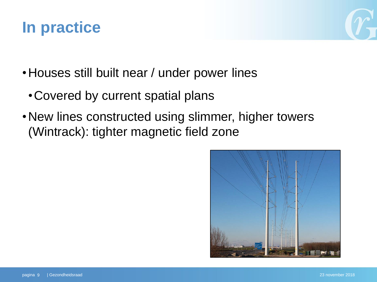### **In practice**



- •Houses still built near / under power lines
	- •Covered by current spatial plans
- New lines constructed using slimmer, higher towers (Wintrack): tighter magnetic field zone

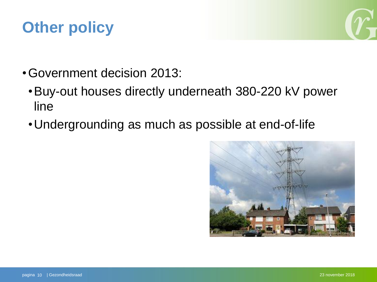# **Other policy**



- •Government decision 2013:
	- •Buy-out houses directly underneath 380-220 kV power line
	- •Undergrounding as much as possible at end-of-life

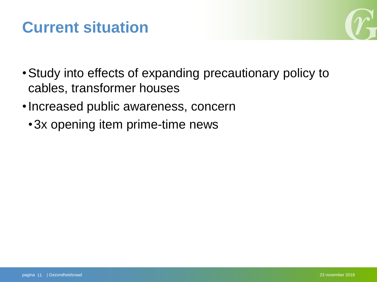### **Current situation**



- •Study into effects of expanding precautionary policy to cables, transformer houses
- •Increased public awareness, concern
	- •3x opening item prime-time news